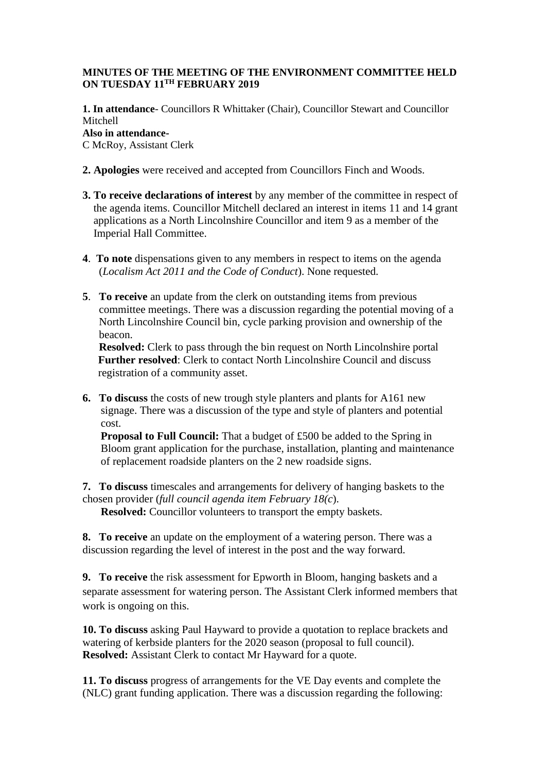## **MINUTES OF THE MEETING OF THE ENVIRONMENT COMMITTEE HELD ON TUESDAY 11TH FEBRUARY 2019**

**1. In attendance**- Councillors R Whittaker (Chair), Councillor Stewart and Councillor Mitchell **Also in attendance-**

C McRoy, Assistant Clerk

- **2. Apologies** were received and accepted from Councillors Finch and Woods.
- **3. To receive declarations of interest** by any member of the committee in respect of the agenda items. Councillor Mitchell declared an interest in items 11 and 14 grant applications as a North Lincolnshire Councillor and item 9 as a member of the Imperial Hall Committee.
- **4**. **To note** dispensations given to any members in respect to items on the agenda (*Localism Act 2011 and the Code of Conduct*). None requested.
- **5**. **To receive** an update from the clerk on outstanding items from previous committee meetings. There was a discussion regarding the potential moving of a North Lincolnshire Council bin, cycle parking provision and ownership of the beacon.

**Resolved:** Clerk to pass through the bin request on North Lincolnshire portal **Further resolved**: Clerk to contact North Lincolnshire Council and discuss registration of a community asset.

**6. To discuss** the costs of new trough style planters and plants for A161 new signage. There was a discussion of the type and style of planters and potential cost.

**Proposal to Full Council:** That a budget of £500 be added to the Spring in Bloom grant application for the purchase, installation, planting and maintenance of replacement roadside planters on the 2 new roadside signs.

**7. To discuss** timescales and arrangements for delivery of hanging baskets to the chosen provider (*full council agenda item February 18(c*).

**Resolved:** Councillor volunteers to transport the empty baskets.

**8. To receive** an update on the employment of a watering person. There was a discussion regarding the level of interest in the post and the way forward.

**9. To receive** the risk assessment for Epworth in Bloom, hanging baskets and a separate assessment for watering person. The Assistant Clerk informed members that work is ongoing on this.

**10. To discuss** asking Paul Hayward to provide a quotation to replace brackets and watering of kerbside planters for the 2020 season (proposal to full council). **Resolved:** Assistant Clerk to contact Mr Hayward for a quote.

**11. To discuss** progress of arrangements for the VE Day events and complete the (NLC) grant funding application. There was a discussion regarding the following: